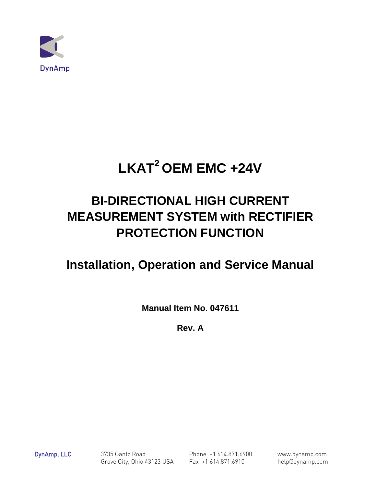

# **LKAT2 OEM EMC +24V**

# **BI-DIRECTIONAL HIGH CURRENT MEASUREMENT SYSTEM with RECTIFIER PROTECTION FUNCTION**

# **Installation, Operation and Service Manual**

**Manual Item No. 047611**

**Rev. A** 

DynAmp, LLC 3735 Gantz Road Phone +1 614.871.6900 www.dynamp.com Grove City, Ohio 43123 USA Fax +1 614.871.6910 help@dynamp.com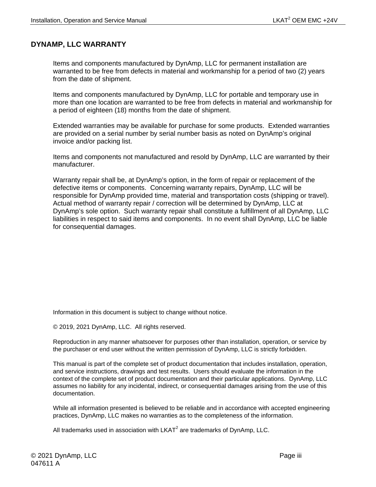#### <span id="page-2-0"></span>**DYNAMP, LLC WARRANTY**

Items and components manufactured by DynAmp, LLC for permanent installation are warranted to be free from defects in material and workmanship for a period of two (2) years from the date of shipment.

Items and components manufactured by DynAmp, LLC for portable and temporary use in more than one location are warranted to be free from defects in material and workmanship for a period of eighteen (18) months from the date of shipment.

Extended warranties may be available for purchase for some products. Extended warranties are provided on a serial number by serial number basis as noted on DynAmp's original invoice and/or packing list.

Items and components not manufactured and resold by DynAmp, LLC are warranted by their manufacturer.

Warranty repair shall be, at DynAmp's option, in the form of repair or replacement of the defective items or components. Concerning warranty repairs, DynAmp, LLC will be responsible for DynAmp provided time, material and transportation costs (shipping or travel). Actual method of warranty repair / correction will be determined by DynAmp, LLC at DynAmp's sole option. Such warranty repair shall constitute a fulfillment of all DynAmp, LLC liabilities in respect to said items and components. In no event shall DynAmp, LLC be liable for consequential damages.

Information in this document is subject to change without notice.

© 2019, 2021 DynAmp, LLC. All rights reserved.

Reproduction in any manner whatsoever for purposes other than installation, operation, or service by the purchaser or end user without the written permission of DynAmp, LLC is strictly forbidden.

This manual is part of the complete set of product documentation that includes installation, operation, and service instructions, drawings and test results. Users should evaluate the information in the context of the complete set of product documentation and their particular applications. DynAmp, LLC assumes no liability for any incidental, indirect, or consequential damages arising from the use of this documentation.

While all information presented is believed to be reliable and in accordance with accepted engineering practices, DynAmp, LLC makes no warranties as to the completeness of the information.

All trademarks used in association with  $LKAT<sup>2</sup>$  are trademarks of DynAmp, LLC.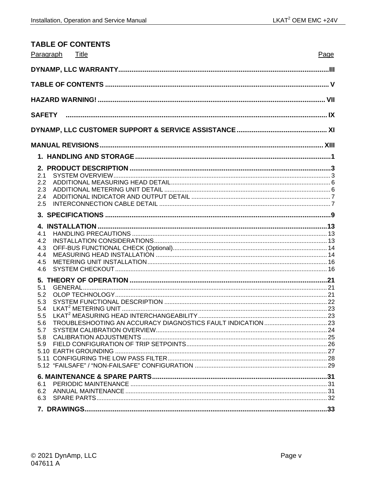<span id="page-4-0"></span>

| <b>TABLE OF CONTENTS</b>                             |      |
|------------------------------------------------------|------|
| Paragraph<br>Title                                   | Page |
|                                                      |      |
|                                                      |      |
|                                                      |      |
|                                                      |      |
|                                                      |      |
|                                                      |      |
|                                                      |      |
| 2.1<br>2.2<br>2.3<br>2.4<br>2.5                      |      |
|                                                      |      |
| 4.1<br>4.2<br>4.3<br>4.4<br>4.5<br>4.6               |      |
| 5.1<br>5.2<br>5.3<br>5.4<br>5.6<br>5.7<br>5.8<br>5.9 |      |
| 6.1<br>6.2<br>6.3                                    |      |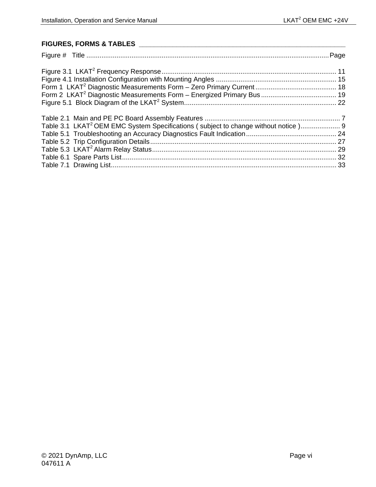#### **FIGURES, FORMS & TABLES \_\_\_\_\_\_\_\_\_\_\_\_\_\_\_\_\_\_\_\_\_\_\_\_\_\_\_\_\_\_\_\_\_\_\_\_\_\_\_\_\_\_\_\_\_\_\_\_\_\_\_\_\_\_\_**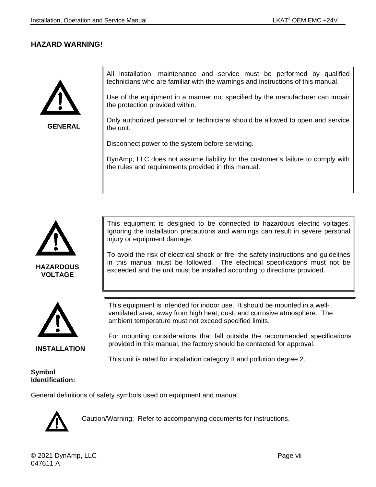#### <span id="page-6-0"></span>**HAZARD WARNING!**



**GENERAL**

All installation, maintenance and service must be performed by qualified technicians who are familiar with the warnings and instructions of this manual.

Use of the equipment in a manner not specified by the manufacturer can impair the protection provided within.

Only authorized personnel or technicians should be allowed to open and service the unit.

Disconnect power to the system before servicing.

DynAmp, LLC does not assume liability for the customer's failure to comply with the rules and requirements provided in this manual.



**HAZARDOUS VOLTAGE**



**INSTALLATION**

#### **Symbol Identification:**

This equipment is designed to be connected to hazardous electric voltages. Ignoring the installation precautions and warnings can result in severe personal injury or equipment damage.

To avoid the risk of electrical shock or fire, the safety instructions and guidelines in this manual must be followed. The electrical specifications must not be exceeded and the unit must be installed according to directions provided.

This equipment is intended for indoor use. It should be mounted in a wellventilated area, away from high heat, dust, and corrosive atmosphere. The ambient temperature must not exceed specified limits.

For mounting considerations that fall outside the recommended specifications provided in this manual, the factory should be contacted for approval.

This unit is rated for installation category II and pollution degree 2.

General definitions of safety symbols used on equipment and manual.



Caution/Warning: Refer to accompanying documents for instructions.

© 2021 DynAmp, LLC **Page vii** and the set of the set of the set of the set of the set of the set of the set of the set of the set of the set of the set of the set of the set of the set of the set of the set of the set of t 047611 A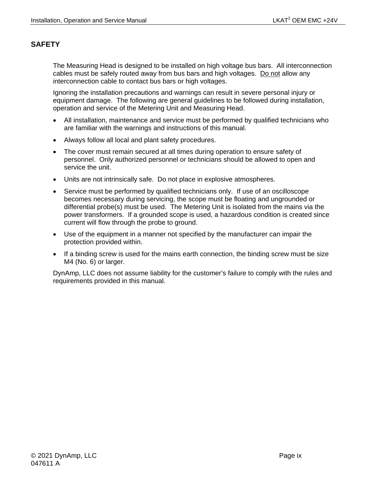#### <span id="page-8-0"></span>**SAFETY**

The Measuring Head is designed to be installed on high voltage bus bars. All interconnection cables must be safely routed away from bus bars and high voltages. Do not allow any interconnection cable to contact bus bars or high voltages.

Ignoring the installation precautions and warnings can result in severe personal injury or equipment damage. The following are general guidelines to be followed during installation, operation and service of the Metering Unit and Measuring Head.

- All installation, maintenance and service must be performed by qualified technicians who are familiar with the warnings and instructions of this manual.
- Always follow all local and plant safety procedures.
- The cover must remain secured at all times during operation to ensure safety of personnel. Only authorized personnel or technicians should be allowed to open and service the unit.
- Units are not intrinsically safe. Do not place in explosive atmospheres.
- Service must be performed by qualified technicians only. If use of an oscilloscope becomes necessary during servicing, the scope must be floating and ungrounded or differential probe(s) must be used. The Metering Unit is isolated from the mains via the power transformers. If a grounded scope is used, a hazardous condition is created since current will flow through the probe to ground.
- Use of the equipment in a manner not specified by the manufacturer can impair the protection provided within.
- If a binding screw is used for the mains earth connection, the binding screw must be size M4 (No. 6) or larger.

DynAmp, LLC does not assume liability for the customer's failure to comply with the rules and requirements provided in this manual.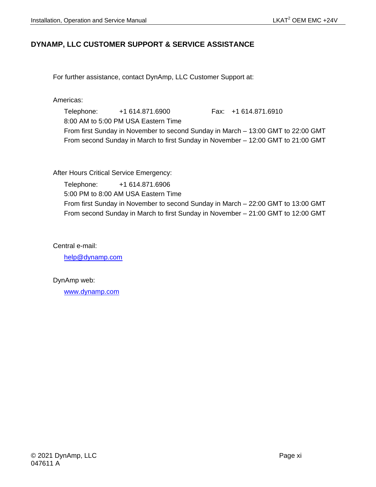#### <span id="page-10-0"></span>**DYNAMP, LLC CUSTOMER SUPPORT & SERVICE ASSISTANCE**

For further assistance, contact DynAmp, LLC Customer Support at:

Americas:

Telephone: +1 614.871.6900 Fax: +1 614.871.6910 8:00 AM to 5:00 PM USA Eastern Time From first Sunday in November to second Sunday in March – 13:00 GMT to 22:00 GMT From second Sunday in March to first Sunday in November – 12:00 GMT to 21:00 GMT

After Hours Critical Service Emergency:

Telephone: +1 614.871.6906 5:00 PM to 8:00 AM USA Eastern Time From first Sunday in November to second Sunday in March – 22:00 GMT to 13:00 GMT From second Sunday in March to first Sunday in November – 21:00 GMT to 12:00 GMT

Central e-mail:

[help@dynamp.com](mailto:help@dynamp.com)

DynAmp web:

[www.dynamp.com](http://www.dynamp.com/)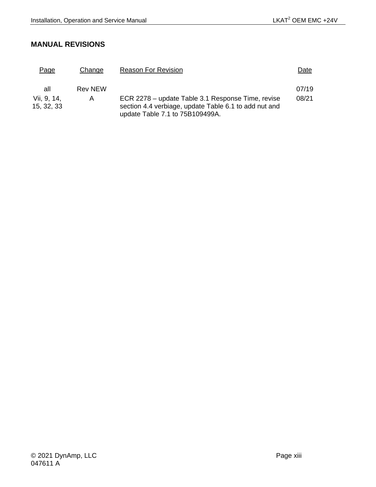#### <span id="page-12-0"></span>**MANUAL REVISIONS**

| Page                      | Change         | <b>Reason For Revision</b>                                                                                                                    | Date  |
|---------------------------|----------------|-----------------------------------------------------------------------------------------------------------------------------------------------|-------|
| all                       | <b>Rev NEW</b> |                                                                                                                                               | 07/19 |
| Vii, 9, 14,<br>15, 32, 33 | A              | ECR 2278 – update Table 3.1 Response Time, revise<br>section 4.4 verbiage, update Table 6.1 to add nut and<br>update Table 7.1 to 75B109499A. | 08/21 |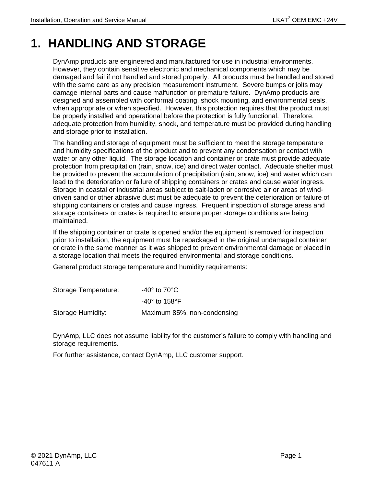# <span id="page-14-0"></span>**1. HANDLING AND STORAGE**

DynAmp products are engineered and manufactured for use in industrial environments. However, they contain sensitive electronic and mechanical components which may be damaged and fail if not handled and stored properly. All products must be handled and stored with the same care as any precision measurement instrument. Severe bumps or jolts may damage internal parts and cause malfunction or premature failure. DynAmp products are designed and assembled with conformal coating, shock mounting, and environmental seals, when appropriate or when specified. However, this protection requires that the product must be properly installed and operational before the protection is fully functional. Therefore, adequate protection from humidity, shock, and temperature must be provided during handling and storage prior to installation.

The handling and storage of equipment must be sufficient to meet the storage temperature and humidity specifications of the product and to prevent any condensation or contact with water or any other liquid. The storage location and container or crate must provide adequate protection from precipitation (rain, snow, ice) and direct water contact. Adequate shelter must be provided to prevent the accumulation of precipitation (rain, snow, ice) and water which can lead to the deterioration or failure of shipping containers or crates and cause water ingress. Storage in coastal or industrial areas subject to salt-laden or corrosive air or areas of winddriven sand or other abrasive dust must be adequate to prevent the deterioration or failure of shipping containers or crates and cause ingress. Frequent inspection of storage areas and storage containers or crates is required to ensure proper storage conditions are being maintained.

If the shipping container or crate is opened and/or the equipment is removed for inspection prior to installation, the equipment must be repackaged in the original undamaged container or crate in the same manner as it was shipped to prevent environmental damage or placed in a storage location that meets the required environmental and storage conditions.

General product storage temperature and humidity requirements:

| Storage Temperature: | -40 $^{\circ}$ to 70 $^{\circ}$ C |
|----------------------|-----------------------------------|
|                      | $-40^\circ$ to 158°F              |
| Storage Humidity:    | Maximum 85%, non-condensing       |

DynAmp, LLC does not assume liability for the customer's failure to comply with handling and storage requirements.

For further assistance, contact DynAmp, LLC customer support.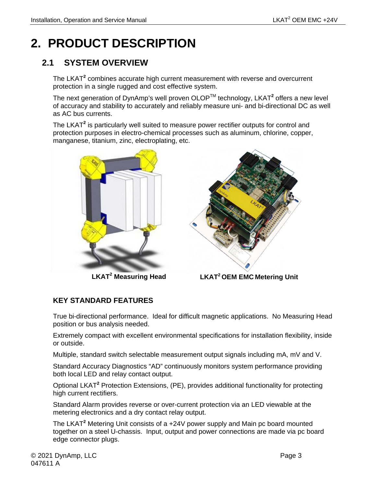# <span id="page-16-0"></span>**2. PRODUCT DESCRIPTION**

## <span id="page-16-1"></span>**2.1 SYSTEM OVERVIEW**

The LKAT**<sup>2</sup>** combines accurate high current measurement with reverse and overcurrent protection in a single rugged and cost effective system.

The next generation of DynAmp's well proven OLOPTM technology, LKAT**<sup>2</sup>** offers a new level of accuracy and stability to accurately and reliably measure uni- and bi-directional DC as well as AC bus currents.

The LKAT**<sup>2</sup>** is particularly well suited to measure power rectifier outputs for control and protection purposes in electro-chemical processes such as aluminum, chlorine, copper, manganese, titanium, zinc, electroplating, etc.



**LKAT<sup>2</sup> Measuring Head**



 **LKAT2 OEM EMC Metering Unit**

### **KEY STANDARD FEATURES**

True bi-directional performance. Ideal for difficult magnetic applications. No Measuring Head position or bus analysis needed.

Extremely compact with excellent environmental specifications for installation flexibility, inside or outside.

Multiple, standard switch selectable measurement output signals including mA, mV and V.

Standard Accuracy Diagnostics "AD" continuously monitors system performance providing both local LED and relay contact output.

Optional LKAT**<sup>2</sup>** Protection Extensions, (PE), provides additional functionality for protecting high current rectifiers.

Standard Alarm provides reverse or over-current protection via an LED viewable at the metering electronics and a dry contact relay output.

The LKAT**<sup>2</sup>** Metering Unit consists of a +24V power supply and Main pc board mounted together on a steel U-chassis. Input, output and power connections are made via pc board edge connector plugs.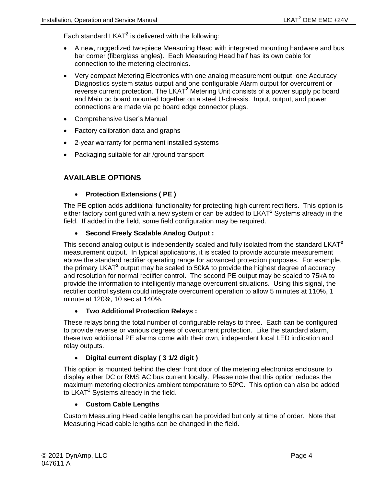Each standard LKAT**<sup>2</sup>** is delivered with the following:

- A new, ruggedized two-piece Measuring Head with integrated mounting hardware and bus bar corner (fiberglass angles). Each Measuring Head half has its own cable for connection to the metering electronics.
- Very compact Metering Electronics with one analog measurement output, one Accuracy Diagnostics system status output and one configurable Alarm output for overcurrent or reverse current protection. The LKAT**<sup>2</sup>** Metering Unit consists of a power supply pc board and Main pc board mounted together on a steel U-chassis. Input, output, and power connections are made via pc board edge connector plugs.
- Comprehensive User's Manual
- Factory calibration data and graphs
- 2-year warranty for permanent installed systems
- Packaging suitable for air /ground transport

#### **AVAILABLE OPTIONS**

#### • **Protection Extensions ( PE )**

The PE option adds additional functionality for protecting high current rectifiers. This option is either factory configured with a new system or can be added to  $LKAT<sup>2</sup>$  Systems already in the field. If added in the field, some field configuration may be required.

#### • **Second Freely Scalable Analog Output :**

This second analog output is independently scaled and fully isolated from the standard LKAT**<sup>2</sup>** measurement output. In typical applications, it is scaled to provide accurate measurement above the standard rectifier operating range for advanced protection purposes. For example, the primary LKAT**<sup>2</sup>** output may be scaled to 50kA to provide the highest degree of accuracy and resolution for normal rectifier control. The second PE output may be scaled to 75kA to provide the information to intelligently manage overcurrent situations. Using this signal, the rectifier control system could integrate overcurrent operation to allow 5 minutes at 110%, 1 minute at 120%, 10 sec at 140%.

#### • **Two Additional Protection Relays :**

These relays bring the total number of configurable relays to three. Each can be configured to provide reverse or various degrees of overcurrent protection. Like the standard alarm, these two additional PE alarms come with their own, independent local LED indication and relay outputs.

#### • **Digital current display ( 3 1/2 digit )**

This option is mounted behind the clear front door of the metering electronics enclosure to display either DC or RMS AC bus current locally. Please note that this option reduces the maximum metering electronics ambient temperature to 50ºC. This option can also be added to  $LKAT^2$  Systems already in the field.

#### • **Custom Cable Lengths**

Custom Measuring Head cable lengths can be provided but only at time of order. Note that Measuring Head cable lengths can be changed in the field.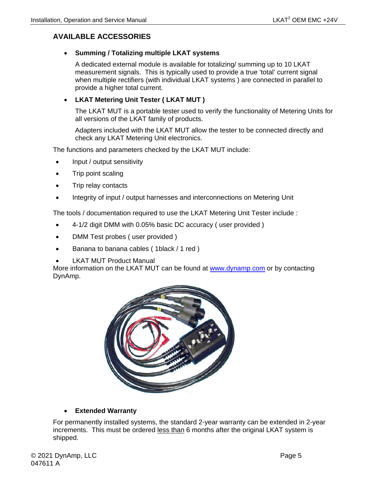#### **AVAILABLE ACCESSORIES**

#### • **Summing / Totalizing multiple LKAT systems**

A dedicated external module is available for totalizing/ summing up to 10 LKAT measurement signals. This is typically used to provide a true 'total' current signal when multiple rectifiers (with individual LKAT systems ) are connected in parallel to provide a higher total current.

#### • **LKAT Metering Unit Tester ( LKAT MUT )**

The LKAT MUT is a portable tester used to verify the functionality of Metering Units for all versions of the LKAT family of products.

Adapters included with the LKAT MUT allow the tester to be connected directly and check any LKAT Metering Unit electronics.

The functions and parameters checked by the LKAT MUT include:

- Input / output sensitivity
- Trip point scaling
- Trip relay contacts
- Integrity of input / output harnesses and interconnections on Metering Unit

The tools / documentation required to use the LKAT Metering Unit Tester include :

- 4-1/2 digit DMM with 0.05% basic DC accuracy ( user provided )
- DMM Test probes ( user provided )
- Banana to banana cables ( 1black / 1 red )
- **LKAT MUT Product Manual**

More information on the LKAT MUT can be found at [www.dynamp.com](http://www.dynamp.com/) or by contacting DynAmp.



#### • **Extended Warranty**

For permanently installed systems, the standard 2-year warranty can be extended in 2-year increments. This must be ordered less than 6 months after the original LKAT system is shipped.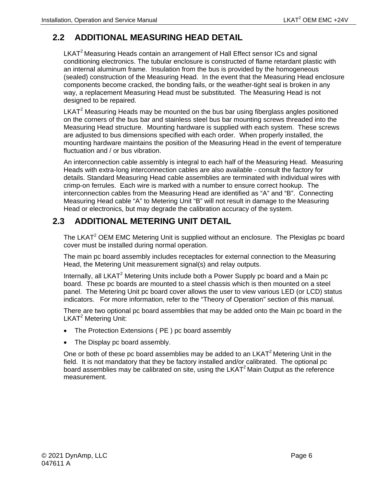## <span id="page-19-0"></span>**2.2 ADDITIONAL MEASURING HEAD DETAIL**

 $LKAT<sup>2</sup>$  Measuring Heads contain an arrangement of Hall Effect sensor ICs and signal conditioning electronics. The tubular enclosure is constructed of flame retardant plastic with an internal aluminum frame. Insulation from the bus is provided by the homogeneous (sealed) construction of the Measuring Head. In the event that the Measuring Head enclosure components become cracked, the bonding fails, or the weather-tight seal is broken in any way, a replacement Measuring Head must be substituted. The Measuring Head is not designed to be repaired.

LKAT $2$  Measuring Heads may be mounted on the bus bar using fiberglass angles positioned on the corners of the bus bar and stainless steel bus bar mounting screws threaded into the Measuring Head structure. Mounting hardware is supplied with each system. These screws are adjusted to bus dimensions specified with each order. When properly installed, the mounting hardware maintains the position of the Measuring Head in the event of temperature fluctuation and / or bus vibration.

An interconnection cable assembly is integral to each half of the Measuring Head. Measuring Heads with extra-long interconnection cables are also available - consult the factory for details. Standard Measuring Head cable assemblies are terminated with individual wires with crimp-on ferrules. Each wire is marked with a number to ensure correct hookup. The interconnection cables from the Measuring Head are identified as "A" and "B". Connecting Measuring Head cable "A" to Metering Unit "B" will not result in damage to the Measuring Head or electronics, but may degrade the calibration accuracy of the system.

### <span id="page-19-1"></span>**2.3 ADDITIONAL METERING UNIT DETAIL**

The LKAT<sup>2</sup> OEM EMC Metering Unit is supplied without an enclosure. The Plexiglas pc board cover must be installed during normal operation.

The main pc board assembly includes receptacles for external connection to the Measuring Head, the Metering Unit measurement signal(s) and relay outputs.

Internally, all LKAT<sup>2</sup> Metering Units include both a Power Supply pc board and a Main pc board. These pc boards are mounted to a steel chassis which is then mounted on a steel panel. The Metering Unit pc board cover allows the user to view various LED (or LCD) status indicators. For more information, refer to the "Theory of Operation" section of this manual.

There are two optional pc board assemblies that may be added onto the Main pc board in the LKAT<sup>2</sup> Metering Unit:

- The Protection Extensions ( PE ) pc board assembly
- The Display pc board assembly.

One or both of these pc board assemblies may be added to an  $LKAT<sup>2</sup>$  Metering Unit in the field. It is not mandatory that they be factory installed and/or calibrated. The optional pc board assemblies may be calibrated on site, using the  $LKAT<sup>2</sup>$  Main Output as the reference measurement.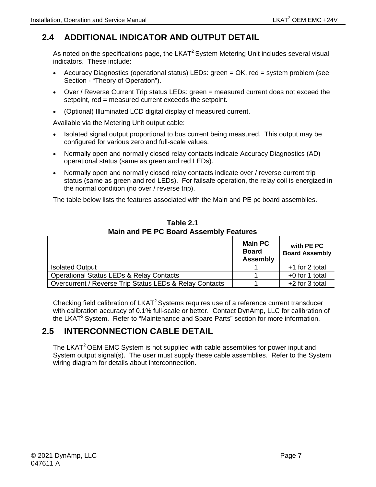## <span id="page-20-0"></span>**2.4 ADDITIONAL INDICATOR AND OUTPUT DETAIL**

As noted on the specifications page, the  $LKAT<sup>2</sup>$  System Metering Unit includes several visual indicators. These include:

- Accuracy Diagnostics (operational status) LEDs: green = OK, red = system problem (see Section - "Theory of Operation").
- Over / Reverse Current Trip status LEDs: green = measured current does not exceed the setpoint, red = measured current exceeds the setpoint.
- (Optional) Illuminated LCD digital display of measured current.

Available via the Metering Unit output cable:

- Isolated signal output proportional to bus current being measured. This output may be configured for various zero and full-scale values.
- Normally open and normally closed relay contacts indicate Accuracy Diagnostics (AD) operational status (same as green and red LEDs).
- Normally open and normally closed relay contacts indicate over / reverse current trip status (same as green and red LEDs). For failsafe operation, the relay coil is energized in the normal condition (no over / reverse trip).

The table below lists the features associated with the Main and PE pc board assemblies.

<span id="page-20-2"></span>

|                                                         | <b>Main PC</b><br><b>Board</b><br><b>Assembly</b> | with PE PC<br><b>Board Assembly</b> |
|---------------------------------------------------------|---------------------------------------------------|-------------------------------------|
| <b>Isolated Output</b>                                  |                                                   | +1 for 2 total                      |
| <b>Operational Status LEDs &amp; Relay Contacts</b>     |                                                   | $+0$ for 1 total                    |
| Overcurrent / Reverse Trip Status LEDs & Relay Contacts |                                                   | +2 for 3 total                      |

**Table 2.1 Main and PE PC Board Assembly Features**

Checking field calibration of LKAT<sup>2</sup> Systems requires use of a reference current transducer with calibration accuracy of 0.1% full-scale or better. Contact DynAmp, LLC for calibration of the LKAT<sup>2</sup> System. Refer to "Maintenance and Spare Parts" section for more information.

## <span id="page-20-1"></span>**2.5 INTERCONNECTION CABLE DETAIL**

The LKAT<sup>2</sup> OEM EMC System is not supplied with cable assemblies for power input and System output signal(s). The user must supply these cable assemblies. Refer to the System wiring diagram for details about interconnection.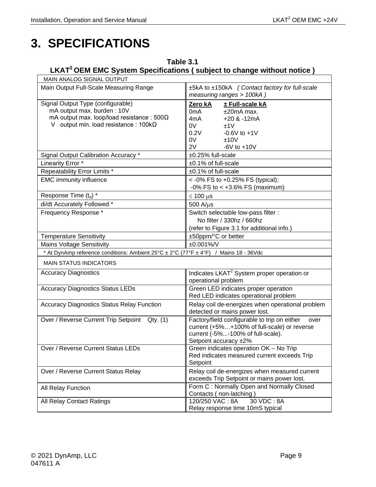# <span id="page-22-0"></span>**3. SPECIFICATIONS**

#### <span id="page-22-1"></span>**Table 3.1 LKAT2 OEM EMC System Specifications ( subject to change without notice )**

| MAIN ANALOG SIGNAL OUTPUT                                                            |                                                                             |  |  |
|--------------------------------------------------------------------------------------|-----------------------------------------------------------------------------|--|--|
| Main Output Full-Scale Measuring Range                                               | ±5kA to ±150kA (Contact factory for full-scale<br>measuring ranges > 100kA) |  |  |
| Signal Output Type (configurable)                                                    | ± Full-scale kA<br>Zero kA                                                  |  |  |
| mA output max. burden: 10V                                                           | $±20mA$ max.<br>0 <sub>m</sub> A                                            |  |  |
| mA output max. loop/load resistance : $500\Omega$                                    | 4mA<br>$+20$ & $-12$ mA                                                     |  |  |
| V output min. load resistance : $100k\Omega$                                         | 0V<br>±1V                                                                   |  |  |
|                                                                                      | 0.2V<br>$-0.6V$ to $+1V$                                                    |  |  |
|                                                                                      | 0V<br>±10V                                                                  |  |  |
|                                                                                      | $-6V$ to $+10V$<br>2V                                                       |  |  |
| Signal Output Calibration Accuracy *                                                 | ±0.25% full-scale                                                           |  |  |
| Linearity Error *                                                                    | $±0.1\%$ of full-scale                                                      |  |  |
| Repeatability Error Limits *                                                         | ±0.1% of full-scale                                                         |  |  |
| <b>EMC immunity influence</b>                                                        | < -0% FS to +0.25% FS (typical);                                            |  |  |
|                                                                                      | $-0\%$ FS to < $+3.6\%$ FS (maximum)                                        |  |  |
| Response Time (t <sub>d</sub> ) *                                                    | $\leq 100 \text{ }\mu\text{s}$                                              |  |  |
| di/dt Accurately Followed *                                                          | $500$ A/ $\mu$ s                                                            |  |  |
| Frequency Response *                                                                 | Switch selectable low-pass filter :                                         |  |  |
|                                                                                      | No filter / 330hz / 660hz                                                   |  |  |
|                                                                                      | (refer to Figure 3.1 for additional info.)                                  |  |  |
| <b>Temperature Sensitivity</b>                                                       | ±50ppm/°C or better                                                         |  |  |
| <b>Mains Voltage Sensitivity</b>                                                     | $±0.001\%$ /V                                                               |  |  |
| * At DynAmp reference conditions: Ambient 25°C ± 2°C (77°F ± 4°F) / Mains 18 - 36Vdc |                                                                             |  |  |
| <b>MAIN STATUS INDICATORS</b>                                                        |                                                                             |  |  |
| Accuracy Diagnostics                                                                 | Indicates LKAT <sup>2</sup> System proper operation or                      |  |  |
|                                                                                      | operational problem                                                         |  |  |
| <b>Accuracy Diagnostics Status LEDs</b>                                              | Green LED indicates proper operation                                        |  |  |
|                                                                                      | Red LED indicates operational problem                                       |  |  |
| <b>Accuracy Diagnostics Status Relay Function</b>                                    | Relay coil de-energizes when operational problem                            |  |  |
|                                                                                      | detected or mains power lost.                                               |  |  |
| Over / Reverse Current Trip Setpoint<br>Qty. (1)                                     | Factory/field configurable to trip on either<br>over                        |  |  |
|                                                                                      | current (+5%+100% of full-scale) or reverse                                 |  |  |
|                                                                                      | current (-5%-100% of full-scale).                                           |  |  |
|                                                                                      | Setpoint accuracy ±2%                                                       |  |  |
| Over / Reverse Current Status LEDs                                                   | Green indicates operation OK - No Trip                                      |  |  |
|                                                                                      | Red indicates measured current exceeds Trip                                 |  |  |
|                                                                                      | Setpoint                                                                    |  |  |
| Over / Reverse Current Status Relay                                                  | Relay coil de-energizes when measured current                               |  |  |
|                                                                                      | exceeds Trip Setpoint or mains power lost.                                  |  |  |
| All Relay Function                                                                   | Form C: Normally Open and Normally Closed                                   |  |  |
|                                                                                      | Contacts (non-latching)                                                     |  |  |
| All Relay Contact Ratings                                                            | 30 VDC : 8A<br>120/250 VAC: 8A                                              |  |  |
|                                                                                      | Relay response time 10mS typical                                            |  |  |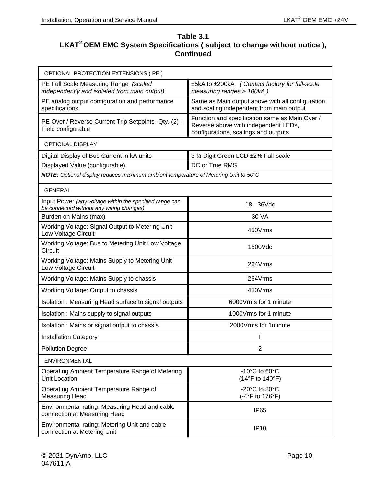#### **Table 3.1** LKAT<sup>2</sup> OEM EMC System Specifications ( subject to change without notice ), **Continued**

| OPTIONAL PROTECTION EXTENSIONS (PE)                                                                 |                                                                                                                                |
|-----------------------------------------------------------------------------------------------------|--------------------------------------------------------------------------------------------------------------------------------|
| PE Full Scale Measuring Range (scaled<br>independently and isolated from main output)               | ±5kA to ±200kA (Contact factory for full-scale<br>measuring ranges > 100kA)                                                    |
| PE analog output configuration and performance<br>specifications                                    | Same as Main output above with all configuration<br>and scaling independent from main output                                   |
| PE Over / Reverse Current Trip Setpoints - Qty. (2) -<br>Field configurable                         | Function and specification same as Main Over /<br>Reverse above with independent LEDs,<br>configurations, scalings and outputs |
| <b>OPTIONAL DISPLAY</b>                                                                             |                                                                                                                                |
| Digital Display of Bus Current in kA units                                                          | 3 1/2 Digit Green LCD ±2% Full-scale                                                                                           |
| Displayed Value (configurable)                                                                      | DC or True RMS                                                                                                                 |
| NOTE: Optional display reduces maximum ambient temperature of Metering Unit to 50°C                 |                                                                                                                                |
| <b>GENERAL</b>                                                                                      |                                                                                                                                |
| Input Power (any voltage within the specified range can<br>be connected without any wiring changes) | 18 - 36Vdc                                                                                                                     |
| Burden on Mains (max)                                                                               | 30 VA                                                                                                                          |
| Working Voltage: Signal Output to Metering Unit<br>Low Voltage Circuit                              | 450Vrms                                                                                                                        |
| Working Voltage: Bus to Metering Unit Low Voltage<br>Circuit                                        | 1500Vdc                                                                                                                        |
| Working Voltage: Mains Supply to Metering Unit<br>Low Voltage Circuit                               | 264Vrms                                                                                                                        |
| Working Voltage: Mains Supply to chassis                                                            | 264Vrms                                                                                                                        |
| Working Voltage: Output to chassis                                                                  | 450Vrms                                                                                                                        |
| Isolation: Measuring Head surface to signal outputs                                                 | 6000Vrms for 1 minute                                                                                                          |
| Isolation : Mains supply to signal outputs                                                          | 1000Vrms for 1 minute                                                                                                          |
| Isolation: Mains or signal output to chassis                                                        | 2000 Vrms for 1 minute                                                                                                         |
| <b>Installation Category</b>                                                                        | Ш                                                                                                                              |
| <b>Pollution Degree</b>                                                                             | 2                                                                                                                              |
| ENVIRONMENTAL                                                                                       |                                                                                                                                |
| Operating Ambient Temperature Range of Metering<br>Unit Location                                    | $-10^{\circ}$ C to 60 $^{\circ}$ C<br>(14°F to 140°F)                                                                          |
| Operating Ambient Temperature Range of<br><b>Measuring Head</b>                                     | -20 $^{\circ}$ C to 80 $^{\circ}$ C<br>(-4°F to 176°F)                                                                         |
| Environmental rating: Measuring Head and cable<br>connection at Measuring Head                      | IP <sub>65</sub>                                                                                                               |
| Environmental rating: Metering Unit and cable<br>connection at Metering Unit                        | <b>IP10</b>                                                                                                                    |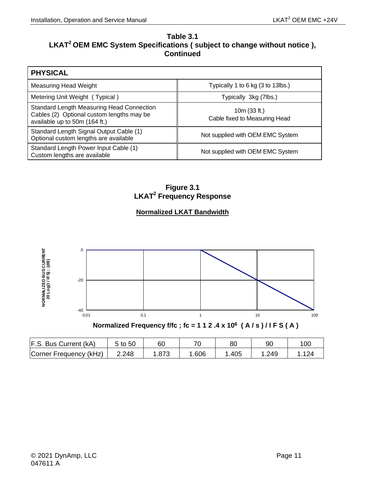#### **Table 3.1** LKAT<sup>2</sup> OEM EMC System Specifications ( subject to change without notice ), **Continued**

| <b>PHYSICAL</b>                                                                                                         |                                                 |
|-------------------------------------------------------------------------------------------------------------------------|-------------------------------------------------|
| Measuring Head Weight                                                                                                   | Typically 1 to 6 kg (3 to 13lbs.)               |
| Metering Unit Weight (Typical)                                                                                          | Typically 3kg (7lbs.)                           |
| Standard Length Measuring Head Connection<br>Cables (2) Optional custom lengths may be<br>available up to 50m (164 ft.) | 10 $m(33 ft.)$<br>Cable fixed to Measuring Head |
| Standard Length Signal Output Cable (1)<br>Optional custom lengths are available                                        | Not supplied with OEM EMC System                |
| Standard Length Power Input Cable (1)<br>Custom lengths are available                                                   | Not supplied with OEM EMC System                |

**Figure 3.1 LKAT2 Frequency Response**

#### **Normalized LKAT Bandwidth**

<span id="page-24-0"></span>

| F.S. Bus Current (kA)  | 5 to 50 | 60           | 70   | 80   | 9C   | 100             |
|------------------------|---------|--------------|------|------|------|-----------------|
| Corner Frequency (kHz) | 2.248   | 07c<br>د ،ه. | .606 | .405 | .249 | 12 <sub>A</sub> |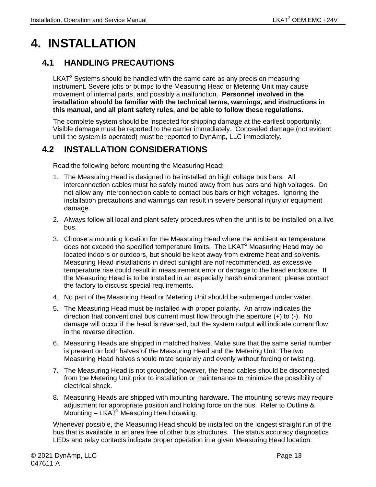# <span id="page-26-0"></span>**4. INSTALLATION**

### <span id="page-26-1"></span>**4.1 HANDLING PRECAUTIONS**

 $LKAT<sup>2</sup>$  Systems should be handled with the same care as any precision measuring instrument. Severe jolts or bumps to the Measuring Head or Metering Unit may cause movement of internal parts, and possibly a malfunction. **Personnel involved in the installation should be familiar with the technical terms, warnings, and instructions in this manual, and all plant safety rules, and be able to follow these regulations.**

The complete system should be inspected for shipping damage at the earliest opportunity. Visible damage must be reported to the carrier immediately. Concealed damage (not evident until the system is operated) must be reported to DynAmp, LLC immediately.

### <span id="page-26-2"></span>**4.2 INSTALLATION CONSIDERATIONS**

Read the following before mounting the Measuring Head:

- 1. The Measuring Head is designed to be installed on high voltage bus bars. All interconnection cables must be safely routed away from bus bars and high voltages. Do not allow any interconnection cable to contact bus bars or high voltages. Ignoring the installation precautions and warnings can result in severe personal injury or equipment damage.
- 2. Always follow all local and plant safety procedures when the unit is to be installed on a live bus.
- 3. Choose a mounting location for the Measuring Head where the ambient air temperature does not exceed the specified temperature limits. The LKAT<sup>2</sup> Measuring Head may be located indoors or outdoors, but should be kept away from extreme heat and solvents. Measuring Head installations in direct sunlight are not recommended, as excessive temperature rise could result in measurement error or damage to the head enclosure. If the Measuring Head is to be installed in an especially harsh environment, please contact the factory to discuss special requirements.
- 4. No part of the Measuring Head or Metering Unit should be submerged under water.
- 5. The Measuring Head must be installed with proper polarity. An arrow indicates the direction that conventional bus current must flow through the aperture (+) to (-). No damage will occur if the head is reversed, but the system output will indicate current flow in the reverse direction.
- 6. Measuring Heads are shipped in matched halves. Make sure that the same serial number is present on both halves of the Measuring Head and the Metering Unit. The two Measuring Head halves should mate squarely and evenly without forcing or twisting.
- 7. The Measuring Head is not grounded; however, the head cables should be disconnected from the Metering Unit prior to installation or maintenance to minimize the possibility of electrical shock.
- 8. Measuring Heads are shipped with mounting hardware. The mounting screws may require adjustment for appropriate position and holding force on the bus. Refer to Outline & Mounting  $-$  LKAT<sup>2</sup> Measuring Head drawing.

Whenever possible, the Measuring Head should be installed on the longest straight run of the bus that is available in an area free of other bus structures. The status accuracy diagnostics LEDs and relay contacts indicate proper operation in a given Measuring Head location.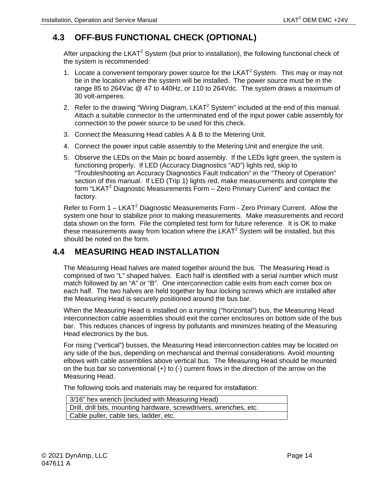# <span id="page-27-0"></span>**4.3 OFF-BUS FUNCTIONAL CHECK (OPTIONAL)**

After unpacking the LKAT<sup>2</sup> System (but prior to installation), the following functional check of the system is recommended:

- 1. Locate a convenient temporary power source for the LKAT<sup>2</sup> System. This may or may not be in the location where the system will be installed. The power source must be in the range 85 to 264Vac @ 47 to 440Hz, or 110 to 264Vdc. The system draws a maximum of 30 volt-amperes.
- 2. Refer to the drawing "Wiring Diagram, LKAT<sup>2</sup> System" included at the end of this manual. Attach a suitable connector to the unterminated end of the input power cable assembly for connection to the power source to be used for this check.
- 3. Connect the Measuring Head cables A & B to the Metering Unit.
- 4. Connect the power input cable assembly to the Metering Unit and energize the unit.
- 5. Observe the LEDs on the Main pc board assembly. If the LEDs light green, the system is functioning properly. If LED (Accuracy Diagnostics "AD") lights red, skip to "Troubleshooting an Accuracy Diagnostics Fault Indication" in the "Theory of Operation" section of this manual. If LED (Trip 1) lights red, make measurements and complete the form "LKAT<sup>2</sup> Diagnostic Measurements Form  $-$  Zero Primary Current" and contact the factory.

Refer to Form  $1 - LKAT^2$  Diagnostic Measurements Form - Zero Primary Current. Allow the system one hour to stabilize prior to making measurements. Make measurements and record data shown on the form. File the completed test form for future reference. It is OK to make these measurements away from location where the LKAT<sup>2</sup> System will be installed, but this should be noted on the form.

### <span id="page-27-1"></span>**4.4 MEASURING HEAD INSTALLATION**

The Measuring Head halves are mated together around the bus. The Measuring Head is comprised of two "L" shaped halves. Each half is identified with a serial number which must match followed by an "A" or "B". One interconnection cable exits from each corner box on each half. The two halves are held together by four locking screws which are installed after the Measuring Head is securely positioned around the bus bar.

When the Measuring Head is installed on a running ("horizontal") bus, the Measuring Head interconnection cable assemblies should exit the corner enclosures on bottom side of the bus bar. This reduces chances of ingress by pollutants and minimizes heating of the Measuring Head electronics by the bus.

For rising ("vertical") busses, the Measuring Head interconnection cables may be located on any side of the bus, depending on mechanical and thermal considerations. Avoid mounting elbows with cable assemblies above vertical bus. The Measuring Head should be mounted on the bus bar so conventional (+) to (-) current flows in the direction of the arrow on the Measuring Head.

The following tools and materials may be required for installation:

| 3/16" hex wrench (included with Measuring Head)                    |
|--------------------------------------------------------------------|
| Drill, drill bits, mounting hardware, screwdrivers, wrenches, etc. |
| Cable puller, cable ties, ladder, etc.                             |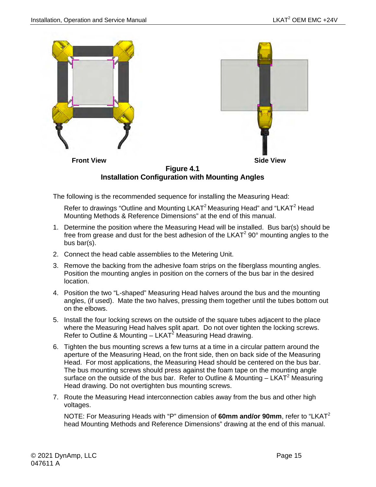

<span id="page-28-0"></span>The following is the recommended sequence for installing the Measuring Head:

Refer to drawings "Outline and Mounting LKAT<sup>2</sup> Measuring Head" and "LKAT<sup>2</sup> Head Mounting Methods & Reference Dimensions" at the end of this manual.

- 1. Determine the position where the Measuring Head will be installed. Bus bar(s) should be free from grease and dust for the best adhesion of the LKAT $2$  90 $^{\circ}$  mounting angles to the bus bar(s).
- 2. Connect the head cable assemblies to the Metering Unit.
- 3. Remove the backing from the adhesive foam strips on the fiberglass mounting angles. Position the mounting angles in position on the corners of the bus bar in the desired location.
- 4. Position the two "L-shaped" Measuring Head halves around the bus and the mounting angles, (if used). Mate the two halves, pressing them together until the tubes bottom out on the elbows.
- 5. Install the four locking screws on the outside of the square tubes adjacent to the place where the Measuring Head halves split apart. Do not over tighten the locking screws. Refer to Outline & Mounting  $-$  LKAT<sup>2</sup> Measuring Head drawing.
- 6. Tighten the bus mounting screws a few turns at a time in a circular pattern around the aperture of the Measuring Head, on the front side, then on back side of the Measuring Head. For most applications, the Measuring Head should be centered on the bus bar. The bus mounting screws should press against the foam tape on the mounting angle surface on the outside of the bus bar. Refer to Outline & Mounting  $- LKAT<sup>2</sup>$  Measuring Head drawing. Do not overtighten bus mounting screws.
- 7. Route the Measuring Head interconnection cables away from the bus and other high voltages.

NOTE: For Measuring Heads with "P" dimension of **60mm and/or 90mm**, refer to "LKAT<sup>2</sup> head Mounting Methods and Reference Dimensions" drawing at the end of this manual.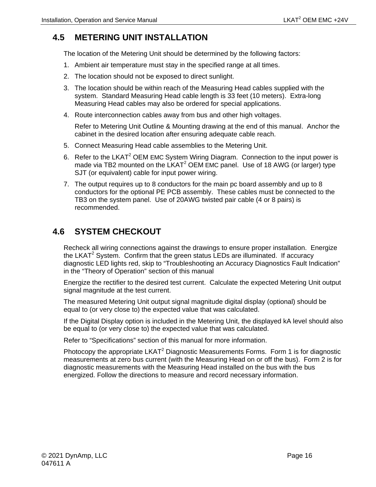## <span id="page-29-0"></span>**4.5 METERING UNIT INSTALLATION**

The location of the Metering Unit should be determined by the following factors:

- 1. Ambient air temperature must stay in the specified range at all times.
- 2. The location should not be exposed to direct sunlight.
- 3. The location should be within reach of the Measuring Head cables supplied with the system. Standard Measuring Head cable length is 33 feet (10 meters). Extra-long Measuring Head cables may also be ordered for special applications.
- 4. Route interconnection cables away from bus and other high voltages.

Refer to Metering Unit Outline & Mounting drawing at the end of this manual. Anchor the cabinet in the desired location after ensuring adequate cable reach.

- 5. Connect Measuring Head cable assemblies to the Metering Unit.
- 6. Refer to the LKAT<sup>2</sup> OEM EMC System Wiring Diagram. Connection to the input power is made via TB2 mounted on the  $LKAT^2$  OEM EMC panel. Use of 18 AWG (or larger) type SJT (or equivalent) cable for input power wiring.
- 7. The output requires up to 8 conductors for the main pc board assembly and up to 8 conductors for the optional PE PCB assembly. These cables must be connected to the TB3 on the system panel. Use of 20AWG twisted pair cable (4 or 8 pairs) is recommended.

### <span id="page-29-1"></span>**4.6 SYSTEM CHECKOUT**

Recheck all wiring connections against the drawings to ensure proper installation. Energize the LKAT<sup>2</sup> System. Confirm that the green status LEDs are illuminated. If accuracy diagnostic LED lights red, skip to "Troubleshooting an Accuracy Diagnostics Fault Indication" in the "Theory of Operation" section of this manual

Energize the rectifier to the desired test current. Calculate the expected Metering Unit output signal magnitude at the test current.

The measured Metering Unit output signal magnitude digital display (optional) should be equal to (or very close to) the expected value that was calculated.

If the Digital Display option is included in the Metering Unit, the displayed kA level should also be equal to (or very close to) the expected value that was calculated.

Refer to "Specifications" section of this manual for more information.

Photocopy the appropriate LKAT<sup>2</sup> Diagnostic Measurements Forms. Form 1 is for diagnostic measurements at zero bus current (with the Measuring Head on or off the bus). Form 2 is for diagnostic measurements with the Measuring Head installed on the bus with the bus energized. Follow the directions to measure and record necessary information.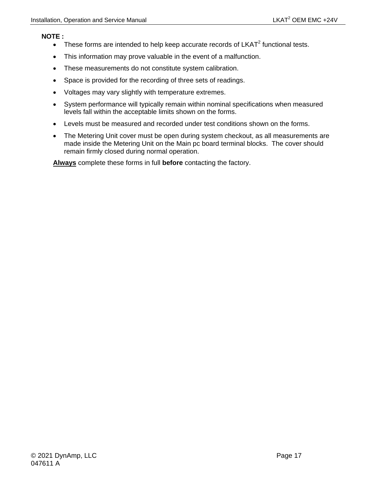#### **NOTE :**

- These forms are intended to help keep accurate records of  $LKAT^2$  functional tests.
- This information may prove valuable in the event of a malfunction.
- These measurements do not constitute system calibration.
- Space is provided for the recording of three sets of readings.
- Voltages may vary slightly with temperature extremes.
- System performance will typically remain within nominal specifications when measured levels fall within the acceptable limits shown on the forms.
- Levels must be measured and recorded under test conditions shown on the forms.
- The Metering Unit cover must be open during system checkout, as all measurements are made inside the Metering Unit on the Main pc board terminal blocks. The cover should remain firmly closed during normal operation.

**Always** complete these forms in full **before** contacting the factory.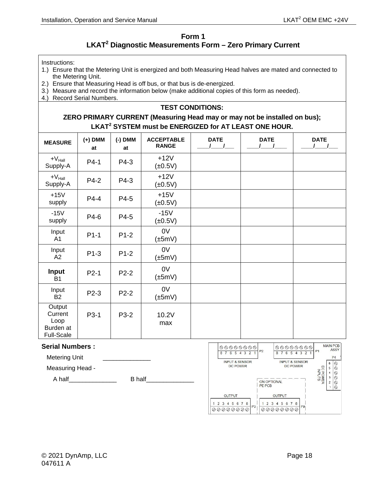#### **Form 1 LKAT2 Diagnostic Measurements Form – Zero Primary Current**

<span id="page-31-0"></span>Instructions:

- 1.) Ensure that the Metering Unit is energized and both Measuring Head halves are mated and connected to the Metering Unit.
- 2.) Ensure that Measuring Head is off bus, or that bus is de-energized.
- 3.) Measure and record the information below (make additional copies of this form as needed).
- 4.) Record Serial Numbers.

#### **TEST CONDITIONS:**

#### **ZERO PRIMARY CURRENT (Measuring Head may or may not be installed on bus); LKAT<sup>2</sup> SYSTEM must be ENERGIZED for AT LEAST ONE HOUR.**

| <b>MEASURE</b>                                              | $(+)$ DMM<br>at | $(-)$ DMM<br>at | <b>ACCEPTABLE</b><br><b>RANGE</b> | <b>DATE</b> | <b>DATE</b> | <b>DATE</b> |
|-------------------------------------------------------------|-----------------|-----------------|-----------------------------------|-------------|-------------|-------------|
| $+V_{\text{Hall}}$<br>Supply-A                              | $P4-1$          | P4-3            | $+12V$<br>$(\pm 0.5V)$            |             |             |             |
| $+V_{\text{Hall}}$<br>Supply-A                              | P4-2            | P4-3            | $+12V$<br>$(\pm 0.5V)$            |             |             |             |
| $+15V$<br>supply                                            | $P4-4$          | P4-5            | $+15V$<br>$(\pm 0.5V)$            |             |             |             |
| $-15V$<br>supply                                            | P4-6            | P4-5            | $-15V$<br>$(\pm 0.5V)$            |             |             |             |
| Input<br>A1                                                 | $P1-1$          | $P1-2$          | 0V<br>$(\pm 5mV)$                 |             |             |             |
| Input<br>A2                                                 | $P1-3$          | $P1-2$          | 0V<br>(±5mV)                      |             |             |             |
| Input<br><b>B1</b>                                          | $P2-1$          | $P2-2$          | 0V<br>$(\pm 5mV)$                 |             |             |             |
| Input<br><b>B2</b>                                          | P2-3            | $P2-2$          | 0V<br>$(\pm 5mV)$                 |             |             |             |
| Output<br>Current<br>Loop<br>Burden at<br><b>Full-Scale</b> | P3-1            | P3-2            | 10.2V<br>max                      |             |             |             |

#### **Serial Numbers :**

Metering Unit

Measuring Head -

A half\_\_\_\_\_\_\_\_\_\_\_\_\_\_ B half\_\_\_\_\_\_\_\_\_\_\_\_\_\_

| $\begin{picture}(160,170) \put(0,0){\line(1,0){100}} \put(10,0){\line(1,0){100}} \put(10,0){\line(1,0){100}} \put(10,0){\line(1,0){100}} \put(10,0){\line(1,0){100}} \put(10,0){\line(1,0){100}} \put(10,0){\line(1,0){100}} \put(10,0){\line(1,0){100}} \put(10,0){\line(1,0){100}} \put(10,0){\line(1,0){100}} \put(10,0){\line(1,0){100$<br>8<br>3<br>2<br>5 | $\circ\circ\circ\circ\circ\circ\circ$<br>P <sub>2</sub><br>P <sub>1</sub><br>$\mathcal{P}$<br>3<br>я<br>6 | <b>MAIN PCB</b><br>ASSY<br>P <sub>4</sub>         |
|-----------------------------------------------------------------------------------------------------------------------------------------------------------------------------------------------------------------------------------------------------------------------------------------------------------------------------------------------------------------|-----------------------------------------------------------------------------------------------------------|---------------------------------------------------|
| <b>INPUT &amp; SENSOR</b><br><b>DC POWER</b>                                                                                                                                                                                                                                                                                                                    | <b>INPUT &amp; SENSOR</b><br><b>DC POWER</b><br>C POWER<br>INPUTS<br>ON OPTIONAL<br><b>PE PCB</b>         | 6<br>σ<br>5<br>◎<br>O<br>4<br>3<br>$\overline{2}$ |
| <b>OUTPUT</b>                                                                                                                                                                                                                                                                                                                                                   | <b>OUTPUT</b>                                                                                             |                                                   |
| $\overline{2}$<br>8<br>$\overline{7}$<br>5<br>6<br>3<br>$\Delta$<br>P <sub>3</sub><br>のプの                                                                                                                                                                                                                                                                       | 8<br>3<br>7<br>$\mathcal{P}$<br>5<br>6<br>4<br>P <sub>9</sub><br>@Q                                       |                                                   |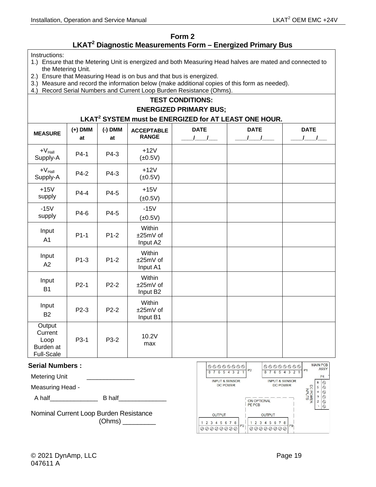#### **Form 2**

#### **LKAT2 Diagnostic Measurements Form – Energized Primary Bus**

#### <span id="page-32-0"></span>Instructions:

- 1.) Ensure that the Metering Unit is energized and both Measuring Head halves are mated and connected to the Metering Unit.
- 2.) Ensure that Measuring Head is on bus and that bus is energized.
- 3.) Measure and record the information below (make additional copies of this form as needed).
- 4.) Record Serial Numbers and Current Loop Burden Resistance (Ohms).

#### **TEST CONDITIONS:**

#### **ENERGIZED PRIMARY BUS;**

#### **LKAT<sup>2</sup> SYSTEM must be ENERGIZED for AT LEAST ONE HOUR.**

| <b>MEASURE</b>                                              | $(+)$ DMM<br>at | $(-)$ DMM<br>at | <b>ACCEPTABLE</b><br><b>RANGE</b>          | <b>DATE</b><br>$\sqrt{1}$ | <b>DATE</b> | <b>DATE</b><br>$\overline{\phantom{a}}$ |
|-------------------------------------------------------------|-----------------|-----------------|--------------------------------------------|---------------------------|-------------|-----------------------------------------|
| $+V_{\text{Hall}}$<br>Supply-A                              | $P4-1$          | P4-3            | $+12V$<br>$(\pm 0.5V)$                     |                           |             |                                         |
| $+V_{\text{Hall}}$<br>Supply-A                              | P4-2            | P4-3            | $+12V$<br>$(\pm 0.5V)$                     |                           |             |                                         |
| $+15V$<br>supply                                            | $P4-4$          | P4-5            | $+15V$<br>$(\pm 0.5V)$                     |                           |             |                                         |
| $-15V$<br>supply                                            | P4-6            | P4-5            | $-15V$<br>$(\pm 0.5V)$                     |                           |             |                                         |
| Input<br>A1                                                 | $P1-1$          | $P1-2$          | Within<br>±25mV of<br>Input A2             |                           |             |                                         |
| Input<br>A2                                                 | $P1-3$          | $P1-2$          | Within<br>±25mV of<br>Input A1             |                           |             |                                         |
| Input<br><b>B1</b>                                          | $P2-1$          | $P2-2$          | Within<br>±25mV of<br>Input B <sub>2</sub> |                           |             |                                         |
| Input<br><b>B2</b>                                          | P2-3            | $P2-2$          | Within<br>±25mV of<br>Input B1             |                           |             |                                         |
| Output<br>Current<br>Loop<br>Burden at<br><b>Full-Scale</b> | P3-1            | P3-2            | 10.2V<br>max                               |                           |             |                                         |

#### **Serial Numbers :**

Metering Unit

Measuring Head -

A half\_\_\_\_\_\_\_\_\_\_\_\_\_\_ B half\_\_\_\_\_\_\_\_\_\_\_\_\_\_

Nominal Current Loop Burden Resistance (Ohms) \_\_\_\_\_\_\_\_\_

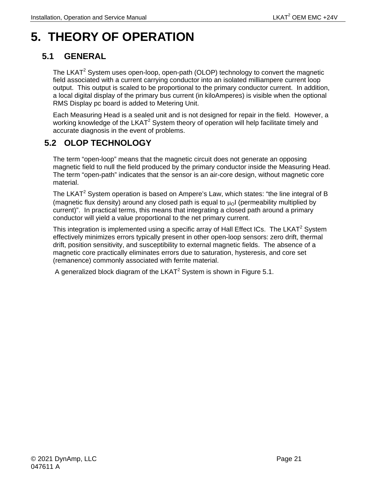# <span id="page-34-0"></span>**5. THEORY OF OPERATION**

# <span id="page-34-1"></span>**5.1 GENERAL**

The LKAT<sup>2</sup> System uses open-loop, open-path (OLOP) technology to convert the magnetic field associated with a current carrying conductor into an isolated milliampere current loop output. This output is scaled to be proportional to the primary conductor current. In addition, a local digital display of the primary bus current (in kiloAmperes) is visible when the optional RMS Display pc board is added to Metering Unit.

Each Measuring Head is a sealed unit and is not designed for repair in the field. However, a working knowledge of the LKAT<sup>2</sup> System theory of operation will help facilitate timely and accurate diagnosis in the event of problems.

# <span id="page-34-2"></span>**5.2 OLOP TECHNOLOGY**

The term "open-loop" means that the magnetic circuit does not generate an opposing magnetic field to null the field produced by the primary conductor inside the Measuring Head. The term "open-path" indicates that the sensor is an air-core design, without magnetic core material.

The LKAT<sup>2</sup> System operation is based on Ampere's Law, which states: "the line integral of B (magnetic flux density) around any closed path is equal to  $\mu_0$  (permeability multiplied by current)". In practical terms, this means that integrating a closed path around a primary conductor will yield a value proportional to the net primary current.

This integration is implemented using a specific array of Hall Effect ICs. The LKAT<sup>2</sup> System effectively minimizes errors typically present in other open-loop sensors: zero drift, thermal drift, position sensitivity, and susceptibility to external magnetic fields. The absence of a magnetic core practically eliminates errors due to saturation, hysteresis, and core set (remanence) commonly associated with ferrite material.

A generalized block diagram of the LKAT<sup>2</sup> System is shown in Figure 5.1.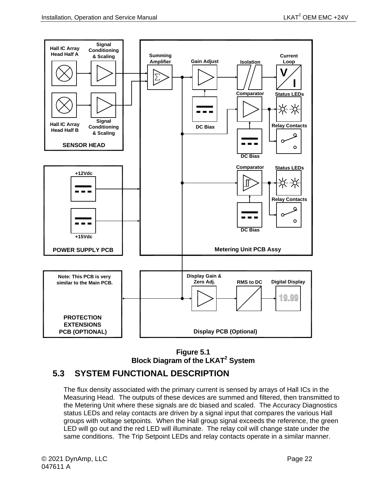

**Figure 5.1 Block Diagram of the LKAT2 System**

## <span id="page-35-1"></span><span id="page-35-0"></span>**5.3 SYSTEM FUNCTIONAL DESCRIPTION**

The flux density associated with the primary current is sensed by arrays of Hall ICs in the Measuring Head. The outputs of these devices are summed and filtered, then transmitted to the Metering Unit where these signals are dc biased and scaled. The Accuracy Diagnostics status LEDs and relay contacts are driven by a signal input that compares the various Hall groups with voltage setpoints. When the Hall group signal exceeds the reference, the green LED will go out and the red LED will illuminate. The relay coil will change state under the same conditions. The Trip Setpoint LEDs and relay contacts operate in a similar manner.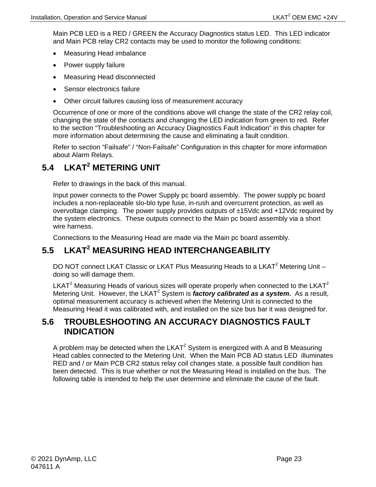Main PCB LED is a RED / GREEN the Accuracy Diagnostics status LED. This LED indicator and Main PCB relay CR2 contacts may be used to monitor the following conditions:

- Measuring Head imbalance
- Power supply failure
- Measuring Head disconnected
- Sensor electronics failure
- Other circuit failures causing loss of measurement accuracy

Occurrence of one or more of the conditions above will change the state of the CR2 relay coil, changing the state of the contacts and changing the LED indication from green to red. Refer to the section "Troubleshooting an Accuracy Diagnostics Fault Indication" in this chapter for more information about determining the cause and eliminating a fault condition.

Refer to section "Failsafe" / "Non-Failsafe" Configuration in this chapter for more information about Alarm Relays.

# <span id="page-36-0"></span>**5.4 LKAT2 METERING UNIT**

Refer to drawings in the back of this manual.

Input power connects to the Power Supply pc board assembly. The power supply pc board includes a non-replaceable slo-blo type fuse, in-rush and overcurrent protection, as well as overvoltage clamping. The power supply provides outputs of ±15Vdc and +12Vdc required by the system electronics. These outputs connect to the Main pc board assembly via a short wire harness.

Connections to the Measuring Head are made via the Main pc board assembly.

# <span id="page-36-1"></span>**5.5 LKAT2 MEASURING HEAD INTERCHANGEABILITY**

DO NOT connect LKAT Classic or LKAT Plus Measuring Heads to a LKAT<sup>2</sup> Metering Unit doing so will damage them.

LKAT<sup>2</sup> Measuring Heads of various sizes will operate properly when connected to the LKAT<sup>2</sup> Metering Unit. However, the LKAT<sup>2</sup> System is *factory calibrated as a system*. As a result, optimal measurement accuracy is achieved when the Metering Unit is connected to the Measuring Head it was calibrated with, and installed on the size bus bar it was designed for.

### <span id="page-36-2"></span>**5.6 TROUBLESHOOTING AN ACCURACY DIAGNOSTICS FAULT INDICATION**

A problem may be detected when the LKAT<sup>2</sup> System is energized with A and B Measuring Head cables connected to the Metering Unit. When the Main PCB AD status LED illuminates RED and / or Main PCB CR2 status relay coil changes state, a possible fault condition has been detected. This is true whether or not the Measuring Head is installed on the bus. The following table is intended to help the user determine and eliminate the cause of the fault.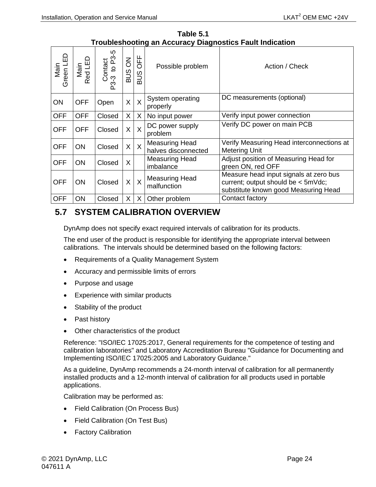<span id="page-37-1"></span>

| <u>Houbleshooting an Accuracy Diagnosites Fault Indication</u> |                 |                                |                       |              |                                              |                                                                                                                      |
|----------------------------------------------------------------|-----------------|--------------------------------|-----------------------|--------------|----------------------------------------------|----------------------------------------------------------------------------------------------------------------------|
| Main<br>Green LED                                              | Main<br>Red LED | ပ္ပ္<br>Contact<br>P3-3 to P3- | $\overline{6}$<br>SUS | OFF<br>SUS   | Possible problem                             | Action / Check                                                                                                       |
| <b>ON</b>                                                      | <b>OFF</b>      | Open                           | X                     | $\mathsf{X}$ | System operating<br>properly                 | DC measurements (optional)                                                                                           |
| <b>OFF</b>                                                     | <b>OFF</b>      | Closed                         | X                     | X            | No input power                               | Verify input power connection                                                                                        |
| <b>OFF</b>                                                     | <b>OFF</b>      | Closed                         | X                     | $\mathsf{X}$ | DC power supply<br>problem                   | Verify DC power on main PCB                                                                                          |
| <b>OFF</b>                                                     | <b>ON</b>       | Closed                         | X                     | $\mathsf{X}$ | <b>Measuring Head</b><br>halves disconnected | Verify Measuring Head interconnections at<br><b>Metering Unit</b>                                                    |
| <b>OFF</b>                                                     | <b>ON</b>       | Closed                         | X                     |              | <b>Measuring Head</b><br>imbalance           | Adjust position of Measuring Head for<br>green ON, red OFF                                                           |
| <b>OFF</b>                                                     | <b>ON</b>       | Closed                         | X                     | $\mathsf{X}$ | <b>Measuring Head</b><br>malfunction         | Measure head input signals at zero bus<br>current; output should be < 5mVdc;<br>substitute known good Measuring Head |
| <b>OFF</b>                                                     | ON              | Closed                         | X                     | X            | Other problem                                | Contact factory                                                                                                      |

**Table 5.1 Troubleshooting an Accuracy Diagnostics Fault Indication** 

# <span id="page-37-0"></span>**5.7 SYSTEM CALIBRATION OVERVIEW**

DynAmp does not specify exact required intervals of calibration for its products.

The end user of the product is responsible for identifying the appropriate interval between calibrations. The intervals should be determined based on the following factors:

- Requirements of a Quality Management System
- Accuracy and permissible limits of errors
- Purpose and usage
- Experience with similar products
- Stability of the product
- Past history
- Other characteristics of the product

Reference: "ISO/IEC 17025:2017, General requirements for the competence of testing and calibration laboratories" and Laboratory Accreditation Bureau "Guidance for Documenting and Implementing ISO/IEC 17025:2005 and Laboratory Guidance."

As a guideline, DynAmp recommends a 24-month interval of calibration for all permanently installed products and a 12-month interval of calibration for all products used in portable applications.

Calibration may be performed as:

- Field Calibration (On Process Bus)
- Field Calibration (On Test Bus)
- Factory Calibration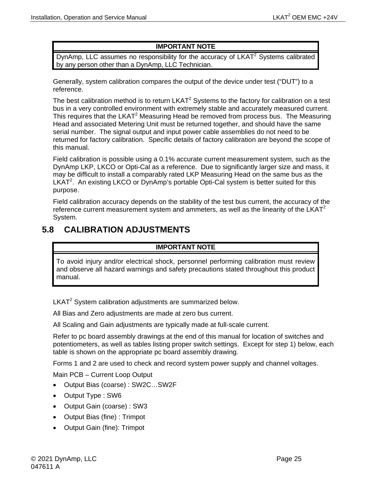#### **IMPORTANT NOTE**

DynAmp, LLC assumes no responsibility for the accuracy of  $LKAT<sup>2</sup>$  Systems calibrated by any person other than a DynAmp, LLC Technician.

Generally, system calibration compares the output of the device under test ("DUT") to a reference.

The best calibration method is to return  $LKAT<sup>2</sup>$  Systems to the factory for calibration on a test bus in a very controlled environment with extremely stable and accurately measured current. This requires that the LKAT<sup>2</sup> Measuring Head be removed from process bus. The Measuring Head and associated Metering Unit must be returned together, and should have the same serial number. The signal output and input power cable assemblies do not need to be returned for factory calibration. Specific details of factory calibration are beyond the scope of this manual.

Field calibration is possible using a 0.1% accurate current measurement system, such as the DynAmp LKP, LKCO or Opti-Cal as a reference. Due to significantly larger size and mass, it may be difficult to install a comparably rated LKP Measuring Head on the same bus as the LKAT<sup>2</sup>. An existing LKCO or DynAmp's portable Opti-Cal system is better suited for this purpose.

Field calibration accuracy depends on the stability of the test bus current, the accuracy of the reference current measurement system and ammeters, as well as the linearity of the LKAT<sup>2</sup> System.

### <span id="page-38-0"></span>**5.8 CALIBRATION ADJUSTMENTS**

#### **IMPORTANT NOTE**

To avoid injury and/or electrical shock, personnel performing calibration must review and observe all hazard warnings and safety precautions stated throughout this product manual.

 $LKAT<sup>2</sup>$  System calibration adjustments are summarized below.

All Bias and Zero adjustments are made at zero bus current.

All Scaling and Gain adjustments are typically made at full-scale current.

Refer to pc board assembly drawings at the end of this manual for location of switches and potentiometers, as well as tables listing proper switch settings. Except for step 1) below, each table is shown on the appropriate pc board assembly drawing.

Forms 1 and 2 are used to check and record system power supply and channel voltages.

Main PCB – Current Loop Output

- Output Bias (coarse) : SW2C…SW2F
- Output Type : SW6
- Output Gain (coarse) : SW3
- Output Bias (fine) : Trimpot
- Output Gain (fine): Trimpot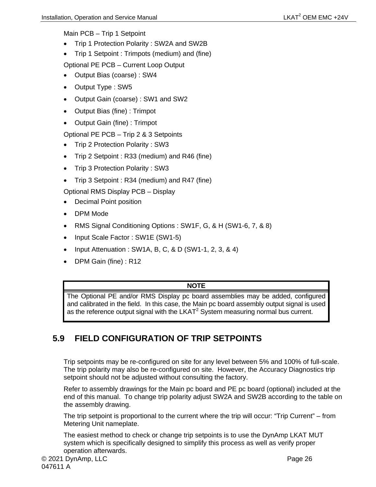Main PCB – Trip 1 Setpoint

- Trip 1 Protection Polarity : SW2A and SW2B
- Trip 1 Setpoint : Trimpots (medium) and (fine)

Optional PE PCB – Current Loop Output

- Output Bias (coarse) : SW4
- Output Type : SW5
- Output Gain (coarse) : SW1 and SW2
- Output Bias (fine) : Trimpot
- Output Gain (fine) : Trimpot

Optional PE PCB – Trip 2 & 3 Setpoints

- Trip 2 Protection Polarity : SW3
- Trip 2 Setpoint : R33 (medium) and R46 (fine)
- Trip 3 Protection Polarity : SW3
- Trip 3 Setpoint : R34 (medium) and R47 (fine)

Optional RMS Display PCB – Display

- Decimal Point position
- DPM Mode
- RMS Signal Conditioning Options : SW1F, G, & H (SW1-6, 7, & 8)
- Input Scale Factor : SW1E (SW1-5)
- Input Attenuation : SW1A, B, C, & D (SW1-1, 2, 3, & 4)
- DPM Gain (fine) : R12

#### **NOTE**

The Optional PE and/or RMS Display pc board assemblies may be added, configured and calibrated in the field. In this case, the Main pc board assembly output signal is used as the reference output signal with the  $LKAT<sup>2</sup>$  System measuring normal bus current.

## <span id="page-39-0"></span>**5.9 FIELD CONFIGURATION OF TRIP SETPOINTS**

Trip setpoints may be re-configured on site for any level between 5% and 100% of full-scale. The trip polarity may also be re-configured on site. However, the Accuracy Diagnostics trip setpoint should not be adjusted without consulting the factory.

Refer to assembly drawings for the Main pc board and PE pc board (optional) included at the end of this manual. To change trip polarity adjust SW2A and SW2B according to the table on the assembly drawing.

The trip setpoint is proportional to the current where the trip will occur: "Trip Current" – from Metering Unit nameplate.

The easiest method to check or change trip setpoints is to use the DynAmp LKAT MUT system which is specifically designed to simplify this process as well as verify proper operation afterwards.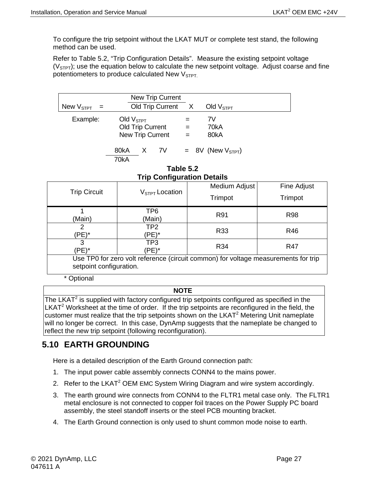To configure the trip setpoint without the LKAT MUT or complete test stand, the following method can be used.

Refer to Table 5.2, "Trip Configuration Details". Measure the existing setpoint voltage  $(V<sub>STPT</sub>)$ ; use the equation below to calculate the new setpoint voltage. Adjust coarse and fine potentiometers to produce calculated New  $V<sub>STPT</sub>$ .

| Example:<br>Old $VSTPT$<br>7V<br><b>Old Trip Current</b><br>70kA<br>$=$<br>New Trip Current<br>80kA<br>$=$ | Old $VSTPT$ |
|------------------------------------------------------------------------------------------------------------|-------------|
| $= 8V$ (New $VSTPT$ )<br>80kA<br>7V<br>X<br>70kA                                                           |             |

**Table 5.2 Trip Configuration Details** 

<span id="page-40-1"></span>

| <b>THE SOUTH SHOULD CLAIMS</b>                                                     |                  |               |             |  |  |
|------------------------------------------------------------------------------------|------------------|---------------|-------------|--|--|
| <b>Trip Circuit</b>                                                                | $VSTPT$ Location | Medium Adjust | Fine Adjust |  |  |
|                                                                                    |                  | Trimpot       | Trimpot     |  |  |
|                                                                                    | TP6              | R91           | <b>R98</b>  |  |  |
| (Main)                                                                             | (Main)           |               |             |  |  |
|                                                                                    | TP <sub>2</sub>  | R33           | R46         |  |  |
| (PE)*                                                                              | PE)*             |               |             |  |  |
| 3                                                                                  | TP3              | R34           | R47         |  |  |
| 'PE)*<br>(PE)*                                                                     |                  |               |             |  |  |
| Use TP0 for zero volt reference (circuit common) for voltage measurements for trip |                  |               |             |  |  |
| setpoint configuration.                                                            |                  |               |             |  |  |
| * Optional                                                                         |                  |               |             |  |  |

#### **NOTE**

The LKAT $^2$  is supplied with factory configured trip setpoints configured as specified in the  $LKAT<sup>2</sup>$  Worksheet at the time of order. If the trip setpoints are reconfigured in the field, the customer must realize that the trip setpoints shown on the LKAT<sup>2</sup> Metering Unit nameplate will no longer be correct. In this case, DynAmp suggests that the nameplate be changed to reflect the new trip setpoint (following reconfiguration).

## <span id="page-40-0"></span>**5.10 EARTH GROUNDING**

Here is a detailed description of the Earth Ground connection path:

- 1. The input power cable assembly connects CONN4 to the mains power.
- 2. Refer to the LKAT<sup>2</sup> OEM EMC System Wiring Diagram and wire system accordingly.
- 3. The earth ground wire connects from CONN4 to the FLTR1 metal case only. The FLTR1 metal enclosure is not connected to copper foil traces on the Power Supply PC board assembly, the steel standoff inserts or the steel PCB mounting bracket.
- 4. The Earth Ground connection is only used to shunt common mode noise to earth.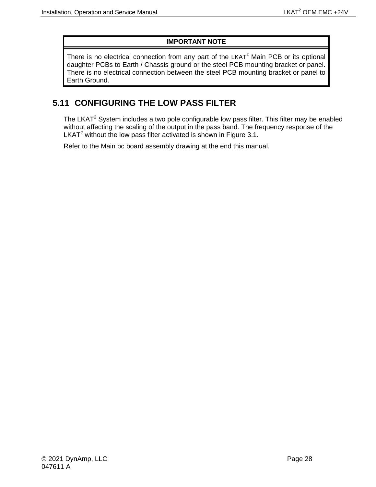#### **IMPORTANT NOTE**

There is no electrical connection from any part of the  $LKAT<sup>2</sup>$  Main PCB or its optional daughter PCBs to Earth / Chassis ground or the steel PCB mounting bracket or panel. There is no electrical connection between the steel PCB mounting bracket or panel to Earth Ground.

### <span id="page-41-0"></span>**5.11 CONFIGURING THE LOW PASS FILTER**

The LKAT<sup>2</sup> System includes a two pole configurable low pass filter. This filter may be enabled without affecting the scaling of the output in the pass band. The frequency response of the LKAT<sup>2</sup> without the low pass filter activated is shown in Figure 3.1.

Refer to the Main pc board assembly drawing at the end this manual.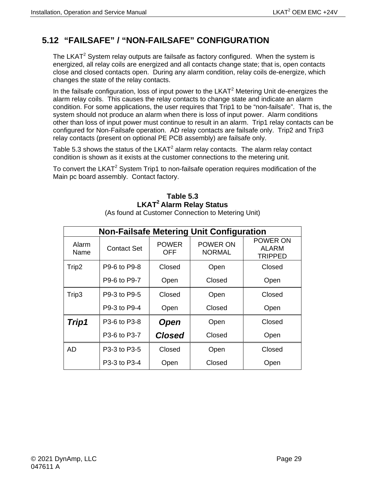# <span id="page-42-0"></span>**5.12 "FAILSAFE" / "NON-FAILSAFE" CONFIGURATION**

The LKAT $2$  System relay outputs are failsafe as factory configured. When the system is energized, all relay coils are energized and all contacts change state; that is, open contacts close and closed contacts open. During any alarm condition, relay coils de-energize, which changes the state of the relay contacts.

In the failsafe configuration, loss of input power to the  $LKAT<sup>2</sup>$  Metering Unit de-energizes the alarm relay coils. This causes the relay contacts to change state and indicate an alarm condition. For some applications, the user requires that Trip1 to be "non-failsafe". That is, the system should not produce an alarm when there is loss of input power. Alarm conditions other than loss of input power must continue to result in an alarm. Trip1 relay contacts can be configured for Non-Failsafe operation. AD relay contacts are failsafe only. Trip2 and Trip3 relay contacts (present on optional PE PCB assembly) are failsafe only.

Table 5.3 shows the status of the  $LKAT^2$  alarm relay contacts. The alarm relay contact condition is shown as it exists at the customer connections to the metering unit.

<span id="page-42-1"></span>To convert the LKAT<sup>2</sup> System Trip1 to non-failsafe operation requires modification of the Main pc board assembly. Contact factory.

### **Table 5.3 LKAT2 Alarm Relay Status**

| <b>Non-Failsafe Metering Unit Configuration</b> |                    |                     |                           |                                     |  |  |
|-------------------------------------------------|--------------------|---------------------|---------------------------|-------------------------------------|--|--|
| Alarm<br>Name                                   | <b>Contact Set</b> | <b>POWER</b><br>OFF | POWER ON<br><b>NORMAL</b> | POWER ON<br><b>ALARM</b><br>TRIPPED |  |  |
| Trip2                                           | P9-6 to P9-8       | Closed              | Open                      | Closed                              |  |  |
|                                                 | P9-6 to P9-7       | Open                | Closed                    | Open                                |  |  |
| Trip3                                           | P9-3 to P9-5       | Closed              | Open                      | Closed                              |  |  |
|                                                 | P9-3 to P9-4       | Open                | Closed                    | Open                                |  |  |
| Trip1                                           | P3-6 to P3-8       | <b>Open</b>         | Open                      | Closed                              |  |  |
|                                                 | P3-6 to P3-7       | <b>Closed</b>       | Closed                    | Open                                |  |  |
| <b>AD</b>                                       | P3-3 to P3-5       | Closed              | Open                      | Closed                              |  |  |
|                                                 | P3-3 to P3-4       | Open                | Closed                    | Open                                |  |  |

(As found at Customer Connection to Metering Unit)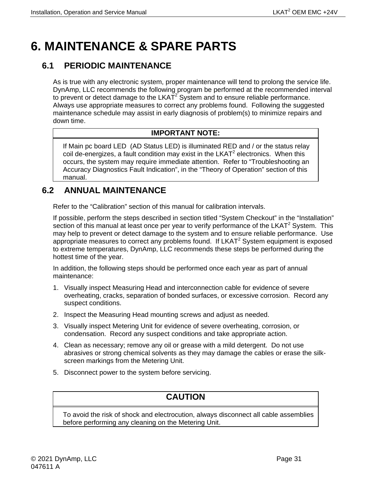# <span id="page-44-0"></span>**6. MAINTENANCE & SPARE PARTS**

## <span id="page-44-1"></span>**6.1 PERIODIC MAINTENANCE**

As is true with any electronic system, proper maintenance will tend to prolong the service life. DynAmp, LLC recommends the following program be performed at the recommended interval to prevent or detect damage to the LKAT<sup>2</sup> System and to ensure reliable performance. Always use appropriate measures to correct any problems found. Following the suggested maintenance schedule may assist in early diagnosis of problem(s) to minimize repairs and down time.

#### **IMPORTANT NOTE:**

If Main pc board LED (AD Status LED) is illuminated RED and / or the status relay coil de-energizes, a fault condition may exist in the  $LKAT<sup>2</sup>$  electronics. When this occurs, the system may require immediate attention. Refer to "Troubleshooting an Accuracy Diagnostics Fault Indication", in the "Theory of Operation" section of this manual.

## <span id="page-44-2"></span>**6.2 ANNUAL MAINTENANCE**

Refer to the "Calibration" section of this manual for calibration intervals.

If possible, perform the steps described in section titled "System Checkout" in the "Installation" section of this manual at least once per year to verify performance of the LKAT<sup>2</sup> System. This may help to prevent or detect damage to the system and to ensure reliable performance. Use appropriate measures to correct any problems found. If  $LKAT^2$  System equipment is exposed to extreme temperatures, DynAmp, LLC recommends these steps be performed during the hottest time of the year.

In addition, the following steps should be performed once each year as part of annual maintenance:

- 1. Visually inspect Measuring Head and interconnection cable for evidence of severe overheating, cracks, separation of bonded surfaces, or excessive corrosion. Record any suspect conditions.
- 2. Inspect the Measuring Head mounting screws and adjust as needed.
- 3. Visually inspect Metering Unit for evidence of severe overheating, corrosion, or condensation. Record any suspect conditions and take appropriate action.
- 4. Clean as necessary; remove any oil or grease with a mild detergent. Do not use abrasives or strong chemical solvents as they may damage the cables or erase the silkscreen markings from the Metering Unit.
- 5. Disconnect power to the system before servicing.

# **CAUTION**

To avoid the risk of shock and electrocution, always disconnect all cable assemblies before performing any cleaning on the Metering Unit.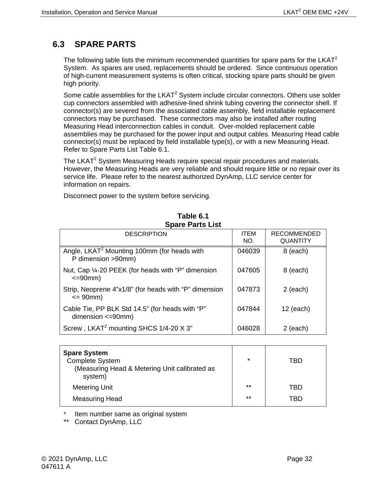# <span id="page-45-0"></span>**6.3 SPARE PARTS**

The following table lists the minimum recommended quantities for spare parts for the LKAT<sup>2</sup> System. As spares are used, replacements should be ordered. Since continuous operation of high-current measurement systems is often critical, stocking spare parts should be given high priority.

Some cable assemblies for the  $LKAT^2$  System include circular connectors. Others use solder cup connectors assembled with adhesive-lined shrink tubing covering the connector shell. If connector(s) are severed from the associated cable assembly, field installable replacement connectors may be purchased. These connectors may also be installed after routing Measuring Head interconnection cables in conduit. Over-molded replacement cable assemblies may be purchased for the power input and output cables. Measuring Head cable connector(s) must be replaced by field installable type(s), or with a new Measuring Head. Refer to Spare Parts List Table 6.1.

The LKAT<sup>2</sup> System Measuring Heads require special repair procedures and materials. However, the Measuring Heads are very reliable and should require little or no repair over its service life. Please refer to the nearest authorized DynAmp, LLC service center for information on repairs.

Disconnect power to the system before servicing.

<span id="page-45-1"></span>

| <b>DESCRIPTION</b>                                                             | <b>ITEM</b><br>NO. | <b>RECOMMENDED</b><br>QUANTITY |
|--------------------------------------------------------------------------------|--------------------|--------------------------------|
| Angle, LKAT <sup>2</sup> Mounting 100mm (for heads with<br>P dimension >90mm)  | 046039             | 8 (each)                       |
| Nut, Cap 1/4-20 PEEK (for heads with "P" dimension<br>$\leq$ =90 $\text{mm}$ ) | 047605             | 8 (each)                       |
| Strip, Neoprene 4"x1/8" (for heads with "P" dimension<br>$= 90$ mm $)$         | 047873             | $2$ (each)                     |
| Cable Tie, PP BLK Std 14.5" (for heads with "P"<br>dimension $\leq$ =90mm)     | 047844             | $12$ (each)                    |
| Screw, LKAT <sup>2</sup> mounting SHCS 1/4-20 X 3"                             | 046028             | 2 (each)                       |

#### **Table 6.1 Spare Parts List**

| <b>Spare System</b><br><b>Complete System</b><br>(Measuring Head & Metering Unit calibrated as<br>system) | $\star$ | TRD |
|-----------------------------------------------------------------------------------------------------------|---------|-----|
| <b>Metering Unit</b>                                                                                      | $**$    | TRD |
| <b>Measuring Head</b>                                                                                     | $**$    | TRD |

Item number same as original system

\*\* Contact DynAmp, LLC